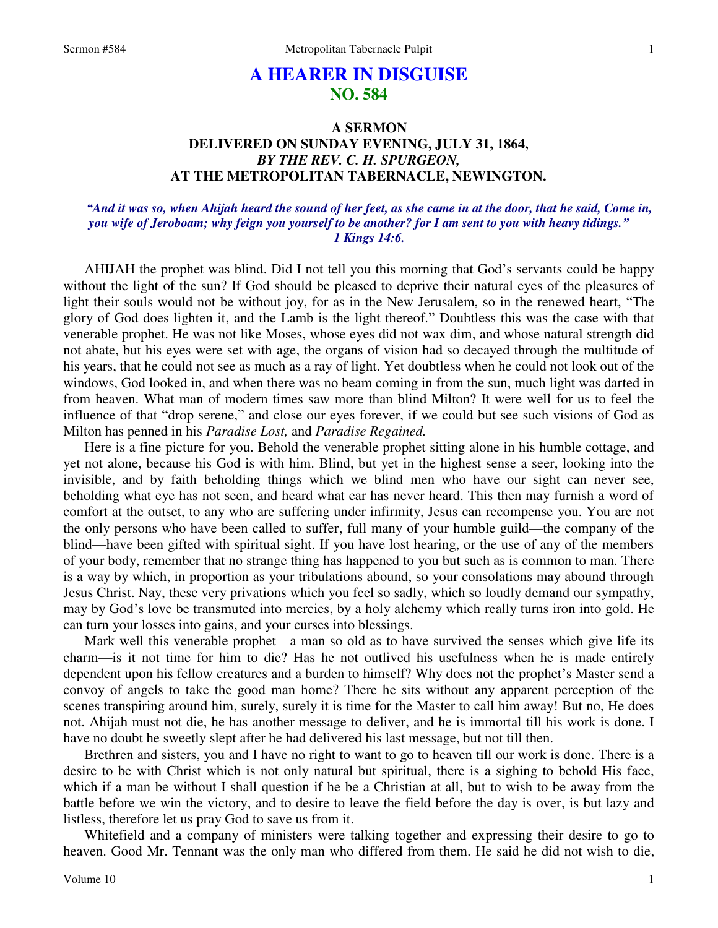# **A HEARER IN DISGUISE NO. 584**

# **A SERMON DELIVERED ON SUNDAY EVENING, JULY 31, 1864,**  *BY THE REV. C. H. SPURGEON,*  **AT THE METROPOLITAN TABERNACLE, NEWINGTON.**

# *"And it was so, when Ahijah heard the sound of her feet, as she came in at the door, that he said, Come in, you wife of Jeroboam; why feign you yourself to be another? for I am sent to you with heavy tidings." 1 Kings 14:6.*

AHIJAH the prophet was blind. Did I not tell you this morning that God's servants could be happy without the light of the sun? If God should be pleased to deprive their natural eyes of the pleasures of light their souls would not be without joy, for as in the New Jerusalem, so in the renewed heart, "The glory of God does lighten it, and the Lamb is the light thereof." Doubtless this was the case with that venerable prophet. He was not like Moses, whose eyes did not wax dim, and whose natural strength did not abate, but his eyes were set with age, the organs of vision had so decayed through the multitude of his years, that he could not see as much as a ray of light. Yet doubtless when he could not look out of the windows, God looked in, and when there was no beam coming in from the sun, much light was darted in from heaven. What man of modern times saw more than blind Milton? It were well for us to feel the influence of that "drop serene," and close our eyes forever, if we could but see such visions of God as Milton has penned in his *Paradise Lost,* and *Paradise Regained.*

Here is a fine picture for you. Behold the venerable prophet sitting alone in his humble cottage, and yet not alone, because his God is with him. Blind, but yet in the highest sense a seer, looking into the invisible, and by faith beholding things which we blind men who have our sight can never see, beholding what eye has not seen, and heard what ear has never heard. This then may furnish a word of comfort at the outset, to any who are suffering under infirmity, Jesus can recompense you. You are not the only persons who have been called to suffer, full many of your humble guild—the company of the blind—have been gifted with spiritual sight. If you have lost hearing, or the use of any of the members of your body, remember that no strange thing has happened to you but such as is common to man. There is a way by which, in proportion as your tribulations abound, so your consolations may abound through Jesus Christ. Nay, these very privations which you feel so sadly, which so loudly demand our sympathy, may by God's love be transmuted into mercies, by a holy alchemy which really turns iron into gold. He can turn your losses into gains, and your curses into blessings.

Mark well this venerable prophet—a man so old as to have survived the senses which give life its charm—is it not time for him to die? Has he not outlived his usefulness when he is made entirely dependent upon his fellow creatures and a burden to himself? Why does not the prophet's Master send a convoy of angels to take the good man home? There he sits without any apparent perception of the scenes transpiring around him, surely, surely it is time for the Master to call him away! But no, He does not. Ahijah must not die, he has another message to deliver, and he is immortal till his work is done. I have no doubt he sweetly slept after he had delivered his last message, but not till then.

Brethren and sisters, you and I have no right to want to go to heaven till our work is done. There is a desire to be with Christ which is not only natural but spiritual, there is a sighing to behold His face, which if a man be without I shall question if he be a Christian at all, but to wish to be away from the battle before we win the victory, and to desire to leave the field before the day is over, is but lazy and listless, therefore let us pray God to save us from it.

Whitefield and a company of ministers were talking together and expressing their desire to go to heaven. Good Mr. Tennant was the only man who differed from them. He said he did not wish to die,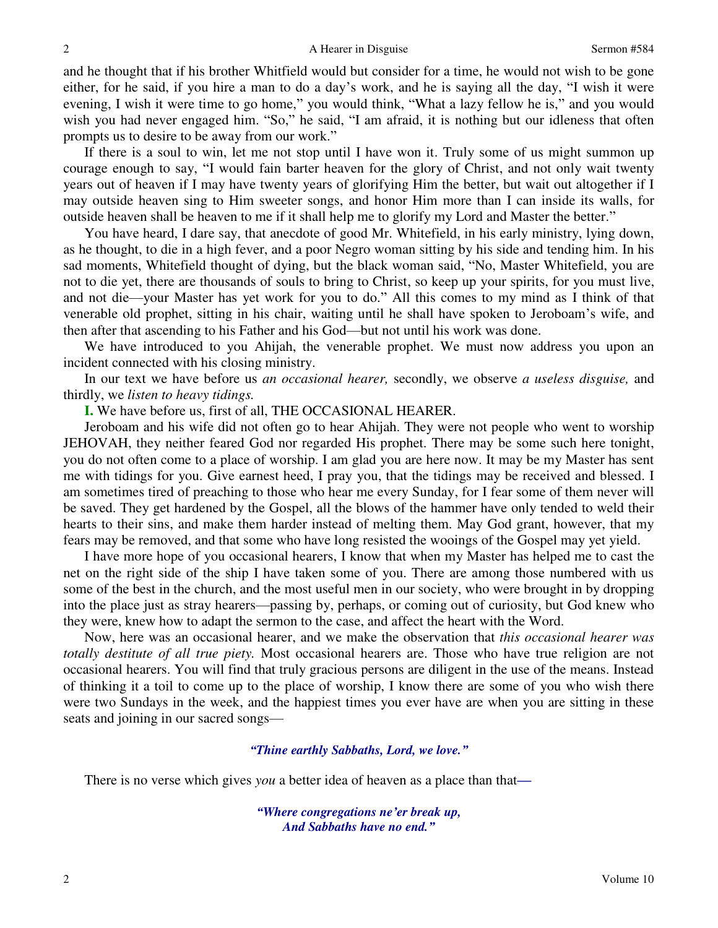and he thought that if his brother Whitfield would but consider for a time, he would not wish to be gone either, for he said, if you hire a man to do a day's work, and he is saying all the day, "I wish it were evening, I wish it were time to go home," you would think, "What a lazy fellow he is," and you would wish you had never engaged him. "So," he said, "I am afraid, it is nothing but our idleness that often prompts us to desire to be away from our work."

If there is a soul to win, let me not stop until I have won it. Truly some of us might summon up courage enough to say, "I would fain barter heaven for the glory of Christ, and not only wait twenty years out of heaven if I may have twenty years of glorifying Him the better, but wait out altogether if I may outside heaven sing to Him sweeter songs, and honor Him more than I can inside its walls, for outside heaven shall be heaven to me if it shall help me to glorify my Lord and Master the better."

You have heard, I dare say, that anecdote of good Mr. Whitefield, in his early ministry, lying down, as he thought, to die in a high fever, and a poor Negro woman sitting by his side and tending him. In his sad moments, Whitefield thought of dying, but the black woman said, "No, Master Whitefield, you are not to die yet, there are thousands of souls to bring to Christ, so keep up your spirits, for you must live, and not die—your Master has yet work for you to do." All this comes to my mind as I think of that venerable old prophet, sitting in his chair, waiting until he shall have spoken to Jeroboam's wife, and then after that ascending to his Father and his God—but not until his work was done.

We have introduced to you Ahijah, the venerable prophet. We must now address you upon an incident connected with his closing ministry.

In our text we have before us *an occasional hearer,* secondly, we observe *a useless disguise,* and thirdly, we *listen to heavy tidings.*

**I.** We have before us, first of all, THE OCCASIONAL HEARER.

Jeroboam and his wife did not often go to hear Ahijah. They were not people who went to worship JEHOVAH, they neither feared God nor regarded His prophet. There may be some such here tonight, you do not often come to a place of worship. I am glad you are here now. It may be my Master has sent me with tidings for you. Give earnest heed, I pray you, that the tidings may be received and blessed. I am sometimes tired of preaching to those who hear me every Sunday, for I fear some of them never will be saved. They get hardened by the Gospel, all the blows of the hammer have only tended to weld their hearts to their sins, and make them harder instead of melting them. May God grant, however, that my fears may be removed, and that some who have long resisted the wooings of the Gospel may yet yield.

I have more hope of you occasional hearers, I know that when my Master has helped me to cast the net on the right side of the ship I have taken some of you. There are among those numbered with us some of the best in the church, and the most useful men in our society, who were brought in by dropping into the place just as stray hearers—passing by, perhaps, or coming out of curiosity, but God knew who they were, knew how to adapt the sermon to the case, and affect the heart with the Word.

Now, here was an occasional hearer, and we make the observation that *this occasional hearer was totally destitute of all true piety.* Most occasional hearers are. Those who have true religion are not occasional hearers. You will find that truly gracious persons are diligent in the use of the means. Instead of thinking it a toil to come up to the place of worship, I know there are some of you who wish there were two Sundays in the week, and the happiest times you ever have are when you are sitting in these seats and joining in our sacred songs—

## *"Thine earthly Sabbaths, Lord, we love."*

There is no verse which gives *you* a better idea of heaven as a place than that*—*

*"Where congregations ne'er break up, And Sabbaths have no end."*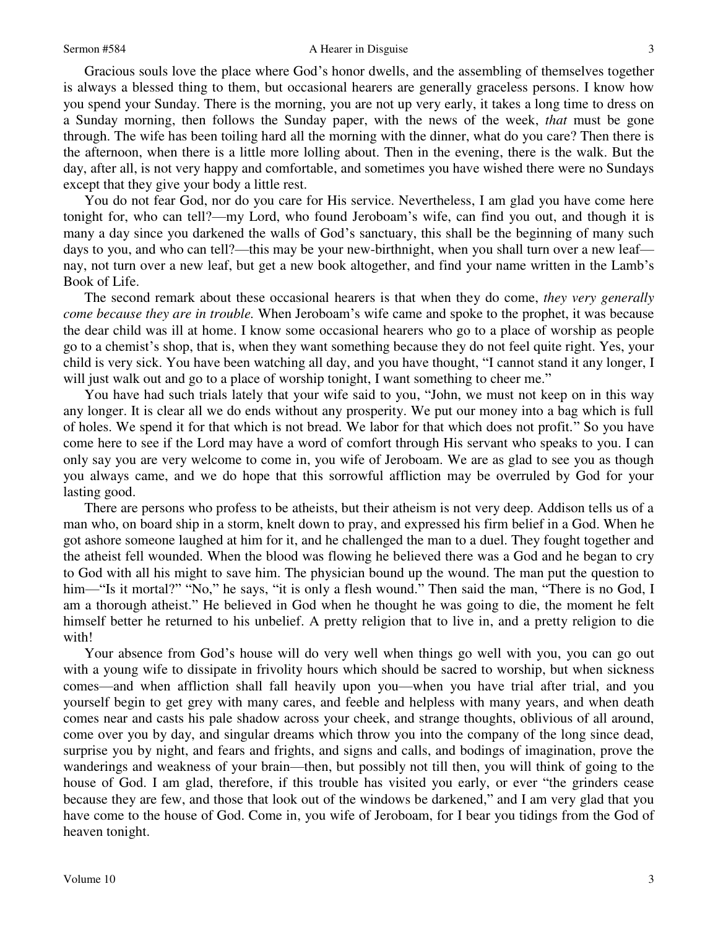## Sermon #584 A Hearer in Disguise

Gracious souls love the place where God's honor dwells, and the assembling of themselves together is always a blessed thing to them, but occasional hearers are generally graceless persons. I know how you spend your Sunday. There is the morning, you are not up very early, it takes a long time to dress on a Sunday morning, then follows the Sunday paper, with the news of the week, *that* must be gone through. The wife has been toiling hard all the morning with the dinner, what do you care? Then there is the afternoon, when there is a little more lolling about. Then in the evening, there is the walk. But the day, after all, is not very happy and comfortable, and sometimes you have wished there were no Sundays except that they give your body a little rest.

You do not fear God, nor do you care for His service. Nevertheless, I am glad you have come here tonight for, who can tell?—my Lord, who found Jeroboam's wife, can find you out, and though it is many a day since you darkened the walls of God's sanctuary, this shall be the beginning of many such days to you, and who can tell?—this may be your new-birthnight, when you shall turn over a new leaf nay, not turn over a new leaf, but get a new book altogether, and find your name written in the Lamb's Book of Life.

The second remark about these occasional hearers is that when they do come, *they very generally come because they are in trouble.* When Jeroboam's wife came and spoke to the prophet, it was because the dear child was ill at home. I know some occasional hearers who go to a place of worship as people go to a chemist's shop, that is, when they want something because they do not feel quite right. Yes, your child is very sick. You have been watching all day, and you have thought, "I cannot stand it any longer, I will just walk out and go to a place of worship tonight, I want something to cheer me."

You have had such trials lately that your wife said to you, "John, we must not keep on in this way any longer. It is clear all we do ends without any prosperity. We put our money into a bag which is full of holes. We spend it for that which is not bread. We labor for that which does not profit." So you have come here to see if the Lord may have a word of comfort through His servant who speaks to you. I can only say you are very welcome to come in, you wife of Jeroboam. We are as glad to see you as though you always came, and we do hope that this sorrowful affliction may be overruled by God for your lasting good.

There are persons who profess to be atheists, but their atheism is not very deep. Addison tells us of a man who, on board ship in a storm, knelt down to pray, and expressed his firm belief in a God. When he got ashore someone laughed at him for it, and he challenged the man to a duel. They fought together and the atheist fell wounded. When the blood was flowing he believed there was a God and he began to cry to God with all his might to save him. The physician bound up the wound. The man put the question to him—"Is it mortal?" "No," he says, "it is only a flesh wound." Then said the man, "There is no God, I am a thorough atheist." He believed in God when he thought he was going to die, the moment he felt himself better he returned to his unbelief. A pretty religion that to live in, and a pretty religion to die with!

Your absence from God's house will do very well when things go well with you, you can go out with a young wife to dissipate in frivolity hours which should be sacred to worship, but when sickness comes—and when affliction shall fall heavily upon you—when you have trial after trial, and you yourself begin to get grey with many cares, and feeble and helpless with many years, and when death comes near and casts his pale shadow across your cheek, and strange thoughts, oblivious of all around, come over you by day, and singular dreams which throw you into the company of the long since dead, surprise you by night, and fears and frights, and signs and calls, and bodings of imagination, prove the wanderings and weakness of your brain—then, but possibly not till then, you will think of going to the house of God. I am glad, therefore, if this trouble has visited you early, or ever "the grinders cease because they are few, and those that look out of the windows be darkened," and I am very glad that you have come to the house of God. Come in, you wife of Jeroboam, for I bear you tidings from the God of heaven tonight.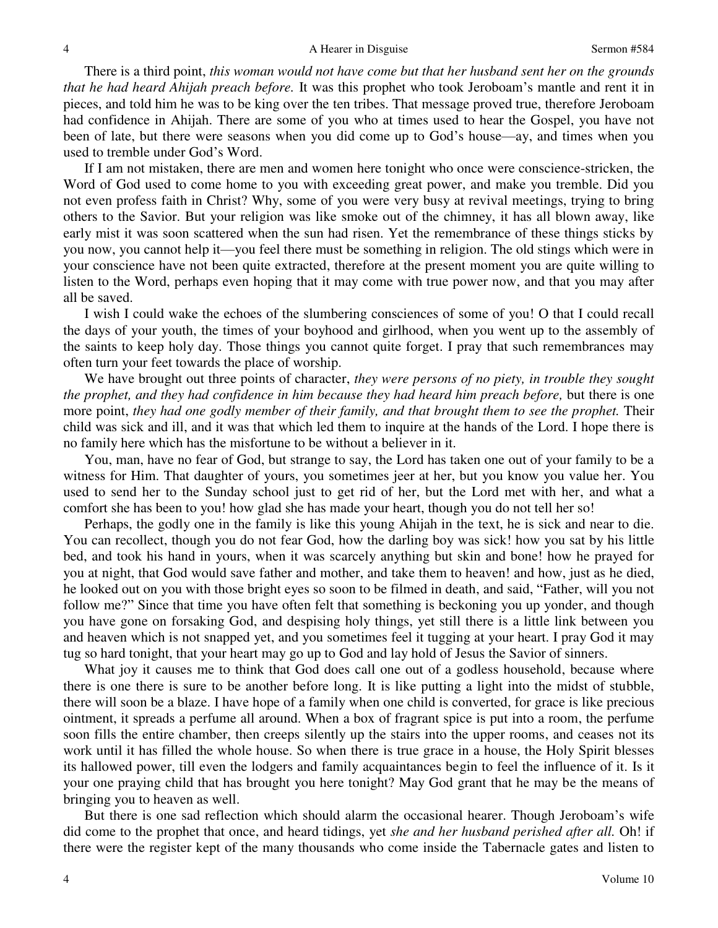There is a third point, *this woman would not have come but that her husband sent her on the grounds that he had heard Ahijah preach before.* It was this prophet who took Jeroboam's mantle and rent it in pieces, and told him he was to be king over the ten tribes. That message proved true, therefore Jeroboam had confidence in Ahijah. There are some of you who at times used to hear the Gospel, you have not been of late, but there were seasons when you did come up to God's house—ay, and times when you used to tremble under God's Word.

If I am not mistaken, there are men and women here tonight who once were conscience-stricken, the Word of God used to come home to you with exceeding great power, and make you tremble. Did you not even profess faith in Christ? Why, some of you were very busy at revival meetings, trying to bring others to the Savior. But your religion was like smoke out of the chimney, it has all blown away, like early mist it was soon scattered when the sun had risen. Yet the remembrance of these things sticks by you now, you cannot help it—you feel there must be something in religion. The old stings which were in your conscience have not been quite extracted, therefore at the present moment you are quite willing to listen to the Word, perhaps even hoping that it may come with true power now, and that you may after all be saved.

I wish I could wake the echoes of the slumbering consciences of some of you! O that I could recall the days of your youth, the times of your boyhood and girlhood, when you went up to the assembly of the saints to keep holy day. Those things you cannot quite forget. I pray that such remembrances may often turn your feet towards the place of worship.

We have brought out three points of character, *they were persons of no piety, in trouble they sought the prophet, and they had confidence in him because they had heard him preach before,* but there is one more point, *they had one godly member of their family, and that brought them to see the prophet.* Their child was sick and ill, and it was that which led them to inquire at the hands of the Lord. I hope there is no family here which has the misfortune to be without a believer in it.

You, man, have no fear of God, but strange to say, the Lord has taken one out of your family to be a witness for Him. That daughter of yours, you sometimes jeer at her, but you know you value her. You used to send her to the Sunday school just to get rid of her, but the Lord met with her, and what a comfort she has been to you! how glad she has made your heart, though you do not tell her so!

Perhaps, the godly one in the family is like this young Ahijah in the text, he is sick and near to die. You can recollect, though you do not fear God, how the darling boy was sick! how you sat by his little bed, and took his hand in yours, when it was scarcely anything but skin and bone! how he prayed for you at night, that God would save father and mother, and take them to heaven! and how, just as he died, he looked out on you with those bright eyes so soon to be filmed in death, and said, "Father, will you not follow me?" Since that time you have often felt that something is beckoning you up yonder, and though you have gone on forsaking God, and despising holy things, yet still there is a little link between you and heaven which is not snapped yet, and you sometimes feel it tugging at your heart. I pray God it may tug so hard tonight, that your heart may go up to God and lay hold of Jesus the Savior of sinners.

What joy it causes me to think that God does call one out of a godless household, because where there is one there is sure to be another before long. It is like putting a light into the midst of stubble, there will soon be a blaze. I have hope of a family when one child is converted, for grace is like precious ointment, it spreads a perfume all around. When a box of fragrant spice is put into a room, the perfume soon fills the entire chamber, then creeps silently up the stairs into the upper rooms, and ceases not its work until it has filled the whole house. So when there is true grace in a house, the Holy Spirit blesses its hallowed power, till even the lodgers and family acquaintances begin to feel the influence of it. Is it your one praying child that has brought you here tonight? May God grant that he may be the means of bringing you to heaven as well.

But there is one sad reflection which should alarm the occasional hearer. Though Jeroboam's wife did come to the prophet that once, and heard tidings, yet *she and her husband perished after all.* Oh! if there were the register kept of the many thousands who come inside the Tabernacle gates and listen to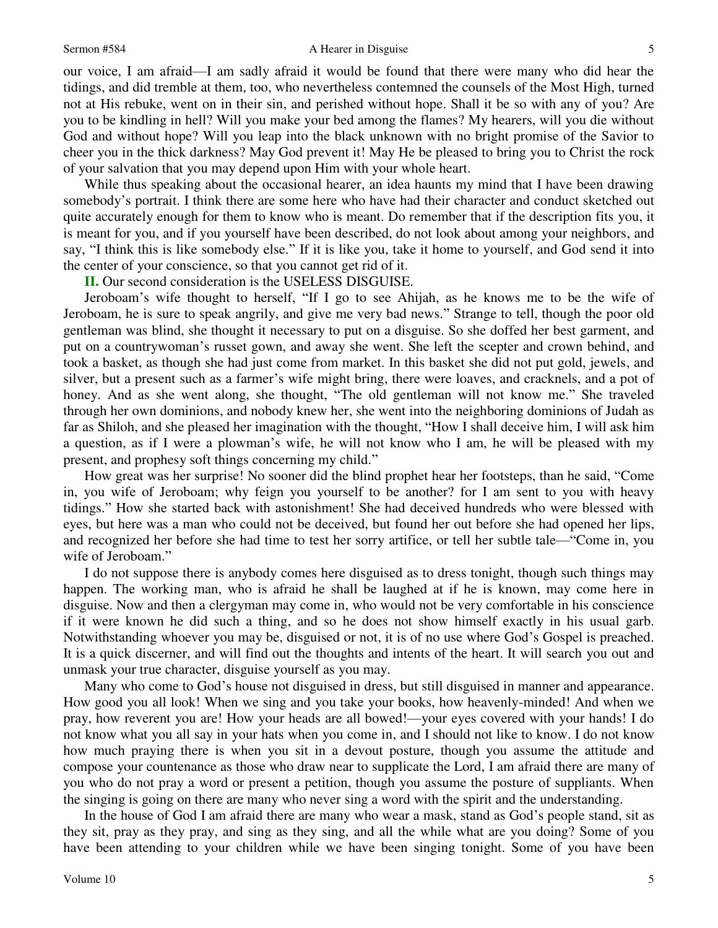### Sermon #584 A Hearer in Disguise

our voice, I am afraid—I am sadly afraid it would be found that there were many who did hear the tidings, and did tremble at them, too, who nevertheless contemned the counsels of the Most High, turned not at His rebuke, went on in their sin, and perished without hope. Shall it be so with any of you? Are you to be kindling in hell? Will you make your bed among the flames? My hearers, will you die without God and without hope? Will you leap into the black unknown with no bright promise of the Savior to cheer you in the thick darkness? May God prevent it! May He be pleased to bring you to Christ the rock of your salvation that you may depend upon Him with your whole heart.

While thus speaking about the occasional hearer, an idea haunts my mind that I have been drawing somebody's portrait. I think there are some here who have had their character and conduct sketched out quite accurately enough for them to know who is meant. Do remember that if the description fits you, it is meant for you, and if you yourself have been described, do not look about among your neighbors, and say, "I think this is like somebody else." If it is like you, take it home to yourself, and God send it into the center of your conscience, so that you cannot get rid of it.

**II.** Our second consideration is the USELESS DISGUISE.

Jeroboam's wife thought to herself, "If I go to see Ahijah, as he knows me to be the wife of Jeroboam, he is sure to speak angrily, and give me very bad news." Strange to tell, though the poor old gentleman was blind, she thought it necessary to put on a disguise. So she doffed her best garment, and put on a countrywoman's russet gown, and away she went. She left the scepter and crown behind, and took a basket, as though she had just come from market. In this basket she did not put gold, jewels, and silver, but a present such as a farmer's wife might bring, there were loaves, and cracknels, and a pot of honey. And as she went along, she thought, "The old gentleman will not know me." She traveled through her own dominions, and nobody knew her, she went into the neighboring dominions of Judah as far as Shiloh, and she pleased her imagination with the thought, "How I shall deceive him, I will ask him a question, as if I were a plowman's wife, he will not know who I am, he will be pleased with my present, and prophesy soft things concerning my child."

How great was her surprise! No sooner did the blind prophet hear her footsteps, than he said, "Come in, you wife of Jeroboam; why feign you yourself to be another? for I am sent to you with heavy tidings." How she started back with astonishment! She had deceived hundreds who were blessed with eyes, but here was a man who could not be deceived, but found her out before she had opened her lips, and recognized her before she had time to test her sorry artifice, or tell her subtle tale—"Come in, you wife of Jeroboam."

I do not suppose there is anybody comes here disguised as to dress tonight, though such things may happen. The working man, who is afraid he shall be laughed at if he is known, may come here in disguise. Now and then a clergyman may come in, who would not be very comfortable in his conscience if it were known he did such a thing, and so he does not show himself exactly in his usual garb. Notwithstanding whoever you may be, disguised or not, it is of no use where God's Gospel is preached. It is a quick discerner, and will find out the thoughts and intents of the heart. It will search you out and unmask your true character, disguise yourself as you may.

Many who come to God's house not disguised in dress, but still disguised in manner and appearance. How good you all look! When we sing and you take your books, how heavenly-minded! And when we pray, how reverent you are! How your heads are all bowed!—your eyes covered with your hands! I do not know what you all say in your hats when you come in, and I should not like to know. I do not know how much praying there is when you sit in a devout posture, though you assume the attitude and compose your countenance as those who draw near to supplicate the Lord, I am afraid there are many of you who do not pray a word or present a petition, though you assume the posture of suppliants. When the singing is going on there are many who never sing a word with the spirit and the understanding.

In the house of God I am afraid there are many who wear a mask, stand as God's people stand, sit as they sit, pray as they pray, and sing as they sing, and all the while what are you doing? Some of you have been attending to your children while we have been singing tonight. Some of you have been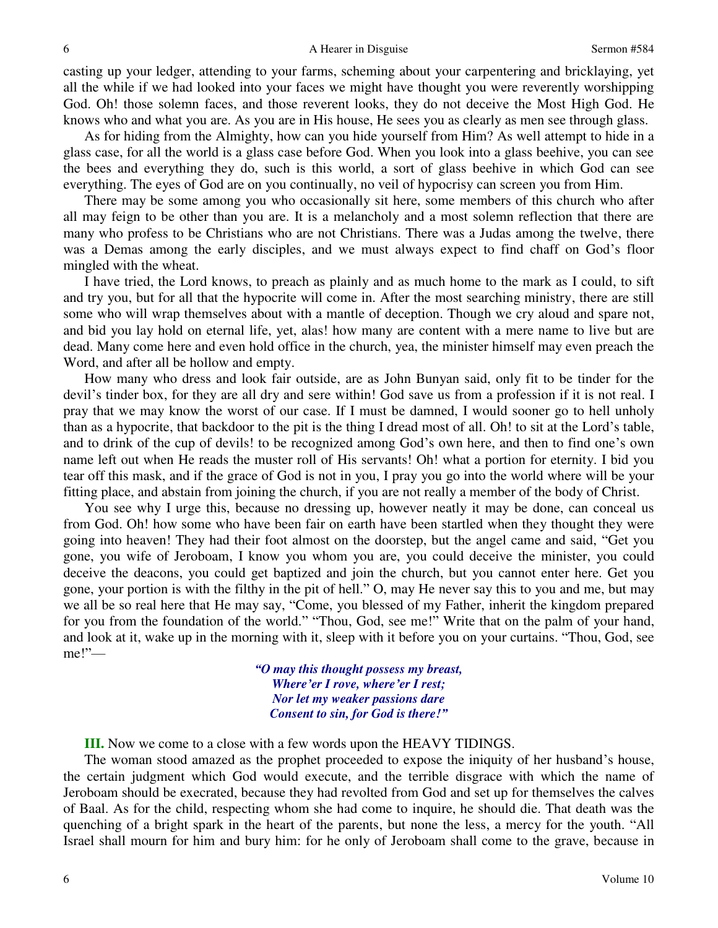casting up your ledger, attending to your farms, scheming about your carpentering and bricklaying, yet all the while if we had looked into your faces we might have thought you were reverently worshipping God. Oh! those solemn faces, and those reverent looks, they do not deceive the Most High God. He knows who and what you are. As you are in His house, He sees you as clearly as men see through glass.

As for hiding from the Almighty, how can you hide yourself from Him? As well attempt to hide in a glass case, for all the world is a glass case before God. When you look into a glass beehive, you can see the bees and everything they do, such is this world, a sort of glass beehive in which God can see everything. The eyes of God are on you continually, no veil of hypocrisy can screen you from Him.

There may be some among you who occasionally sit here, some members of this church who after all may feign to be other than you are. It is a melancholy and a most solemn reflection that there are many who profess to be Christians who are not Christians. There was a Judas among the twelve, there was a Demas among the early disciples, and we must always expect to find chaff on God's floor mingled with the wheat.

I have tried, the Lord knows, to preach as plainly and as much home to the mark as I could, to sift and try you, but for all that the hypocrite will come in. After the most searching ministry, there are still some who will wrap themselves about with a mantle of deception. Though we cry aloud and spare not, and bid you lay hold on eternal life, yet, alas! how many are content with a mere name to live but are dead. Many come here and even hold office in the church, yea, the minister himself may even preach the Word, and after all be hollow and empty.

How many who dress and look fair outside, are as John Bunyan said, only fit to be tinder for the devil's tinder box, for they are all dry and sere within! God save us from a profession if it is not real. I pray that we may know the worst of our case. If I must be damned, I would sooner go to hell unholy than as a hypocrite, that backdoor to the pit is the thing I dread most of all. Oh! to sit at the Lord's table, and to drink of the cup of devils! to be recognized among God's own here, and then to find one's own name left out when He reads the muster roll of His servants! Oh! what a portion for eternity. I bid you tear off this mask, and if the grace of God is not in you, I pray you go into the world where will be your fitting place, and abstain from joining the church, if you are not really a member of the body of Christ.

You see why I urge this, because no dressing up, however neatly it may be done, can conceal us from God. Oh! how some who have been fair on earth have been startled when they thought they were going into heaven! They had their foot almost on the doorstep, but the angel came and said, "Get you gone, you wife of Jeroboam, I know you whom you are, you could deceive the minister, you could deceive the deacons, you could get baptized and join the church, but you cannot enter here. Get you gone, your portion is with the filthy in the pit of hell." O, may He never say this to you and me, but may we all be so real here that He may say, "Come, you blessed of my Father, inherit the kingdom prepared for you from the foundation of the world." "Thou, God, see me!" Write that on the palm of your hand, and look at it, wake up in the morning with it, sleep with it before you on your curtains. "Thou, God, see me!"—

> *"O may this thought possess my breast, Where'er I rove, where'er I rest; Nor let my weaker passions dare Consent to sin, for God is there!"*

**III.** Now we come to a close with a few words upon the HEAVY TIDINGS.

The woman stood amazed as the prophet proceeded to expose the iniquity of her husband's house, the certain judgment which God would execute, and the terrible disgrace with which the name of Jeroboam should be execrated, because they had revolted from God and set up for themselves the calves of Baal. As for the child, respecting whom she had come to inquire, he should die. That death was the quenching of a bright spark in the heart of the parents, but none the less, a mercy for the youth. "All Israel shall mourn for him and bury him: for he only of Jeroboam shall come to the grave, because in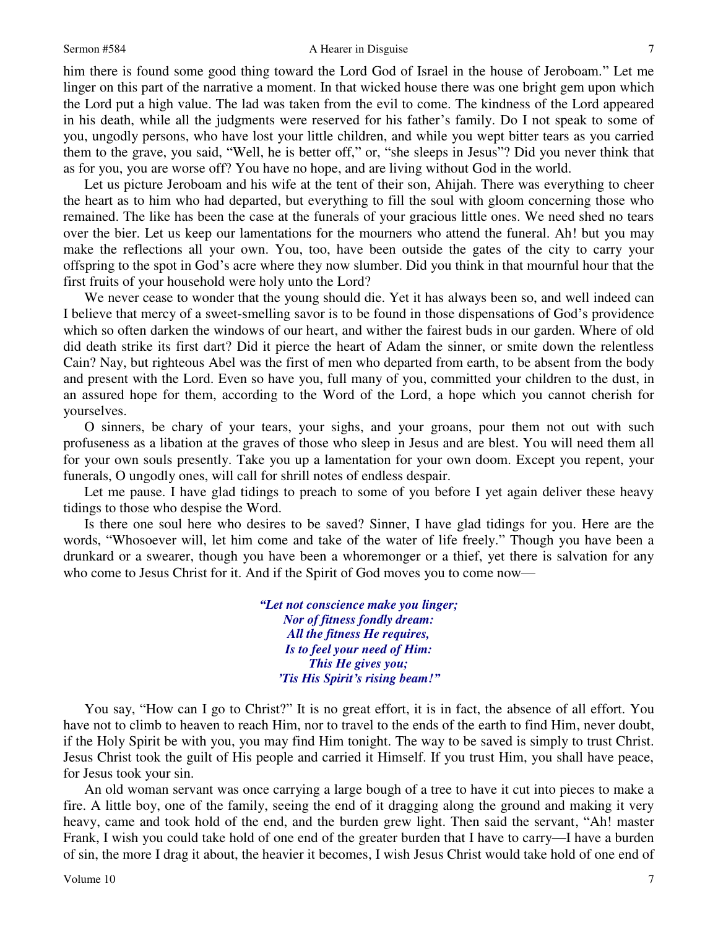### Sermon #584 A Hearer in Disguise

him there is found some good thing toward the Lord God of Israel in the house of Jeroboam." Let me linger on this part of the narrative a moment. In that wicked house there was one bright gem upon which the Lord put a high value. The lad was taken from the evil to come. The kindness of the Lord appeared in his death, while all the judgments were reserved for his father's family. Do I not speak to some of you, ungodly persons, who have lost your little children, and while you wept bitter tears as you carried them to the grave, you said, "Well, he is better off," or, "she sleeps in Jesus"? Did you never think that as for you, you are worse off? You have no hope, and are living without God in the world.

Let us picture Jeroboam and his wife at the tent of their son, Ahijah. There was everything to cheer the heart as to him who had departed, but everything to fill the soul with gloom concerning those who remained. The like has been the case at the funerals of your gracious little ones. We need shed no tears over the bier. Let us keep our lamentations for the mourners who attend the funeral. Ah! but you may make the reflections all your own. You, too, have been outside the gates of the city to carry your offspring to the spot in God's acre where they now slumber. Did you think in that mournful hour that the first fruits of your household were holy unto the Lord?

We never cease to wonder that the young should die. Yet it has always been so, and well indeed can I believe that mercy of a sweet-smelling savor is to be found in those dispensations of God's providence which so often darken the windows of our heart, and wither the fairest buds in our garden. Where of old did death strike its first dart? Did it pierce the heart of Adam the sinner, or smite down the relentless Cain? Nay, but righteous Abel was the first of men who departed from earth, to be absent from the body and present with the Lord. Even so have you, full many of you, committed your children to the dust, in an assured hope for them, according to the Word of the Lord, a hope which you cannot cherish for yourselves.

O sinners, be chary of your tears, your sighs, and your groans, pour them not out with such profuseness as a libation at the graves of those who sleep in Jesus and are blest. You will need them all for your own souls presently. Take you up a lamentation for your own doom. Except you repent, your funerals, O ungodly ones, will call for shrill notes of endless despair.

Let me pause. I have glad tidings to preach to some of you before I yet again deliver these heavy tidings to those who despise the Word.

Is there one soul here who desires to be saved? Sinner, I have glad tidings for you. Here are the words, "Whosoever will, let him come and take of the water of life freely." Though you have been a drunkard or a swearer, though you have been a whoremonger or a thief, yet there is salvation for any who come to Jesus Christ for it. And if the Spirit of God moves you to come now—

> *"Let not conscience make you linger; Nor of fitness fondly dream: All the fitness He requires, Is to feel your need of Him: This He gives you; 'Tis His Spirit's rising beam!"*

You say, "How can I go to Christ?" It is no great effort, it is in fact, the absence of all effort. You have not to climb to heaven to reach Him, nor to travel to the ends of the earth to find Him, never doubt, if the Holy Spirit be with you, you may find Him tonight. The way to be saved is simply to trust Christ. Jesus Christ took the guilt of His people and carried it Himself. If you trust Him, you shall have peace, for Jesus took your sin.

An old woman servant was once carrying a large bough of a tree to have it cut into pieces to make a fire. A little boy, one of the family, seeing the end of it dragging along the ground and making it very heavy, came and took hold of the end, and the burden grew light. Then said the servant, "Ah! master Frank, I wish you could take hold of one end of the greater burden that I have to carry—I have a burden of sin, the more I drag it about, the heavier it becomes, I wish Jesus Christ would take hold of one end of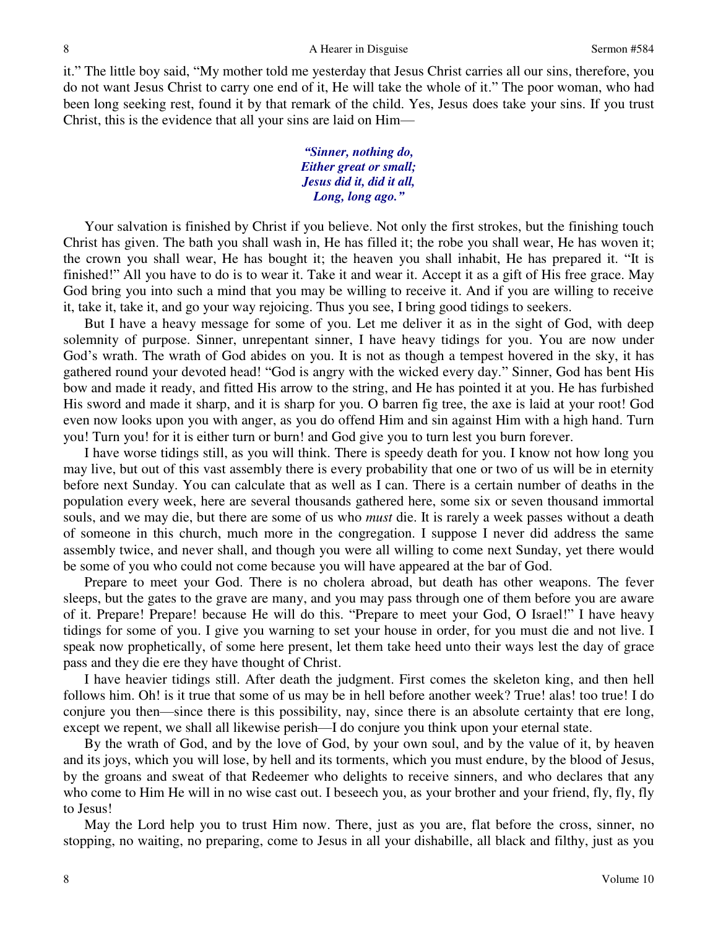it." The little boy said, "My mother told me yesterday that Jesus Christ carries all our sins, therefore, you do not want Jesus Christ to carry one end of it, He will take the whole of it." The poor woman, who had been long seeking rest, found it by that remark of the child. Yes, Jesus does take your sins. If you trust Christ, this is the evidence that all your sins are laid on Him—

> *"Sinner, nothing do, Either great or small; Jesus did it, did it all, Long, long ago."*

Your salvation is finished by Christ if you believe. Not only the first strokes, but the finishing touch Christ has given. The bath you shall wash in, He has filled it; the robe you shall wear, He has woven it; the crown you shall wear, He has bought it; the heaven you shall inhabit, He has prepared it. "It is finished!" All you have to do is to wear it. Take it and wear it. Accept it as a gift of His free grace. May God bring you into such a mind that you may be willing to receive it. And if you are willing to receive it, take it, take it, and go your way rejoicing. Thus you see, I bring good tidings to seekers.

But I have a heavy message for some of you. Let me deliver it as in the sight of God, with deep solemnity of purpose. Sinner, unrepentant sinner, I have heavy tidings for you. You are now under God's wrath. The wrath of God abides on you. It is not as though a tempest hovered in the sky, it has gathered round your devoted head! "God is angry with the wicked every day." Sinner, God has bent His bow and made it ready, and fitted His arrow to the string, and He has pointed it at you. He has furbished His sword and made it sharp, and it is sharp for you. O barren fig tree, the axe is laid at your root! God even now looks upon you with anger, as you do offend Him and sin against Him with a high hand. Turn you! Turn you! for it is either turn or burn! and God give you to turn lest you burn forever.

I have worse tidings still, as you will think. There is speedy death for you. I know not how long you may live, but out of this vast assembly there is every probability that one or two of us will be in eternity before next Sunday. You can calculate that as well as I can. There is a certain number of deaths in the population every week, here are several thousands gathered here, some six or seven thousand immortal souls, and we may die, but there are some of us who *must* die. It is rarely a week passes without a death of someone in this church, much more in the congregation. I suppose I never did address the same assembly twice, and never shall, and though you were all willing to come next Sunday, yet there would be some of you who could not come because you will have appeared at the bar of God.

Prepare to meet your God. There is no cholera abroad, but death has other weapons. The fever sleeps, but the gates to the grave are many, and you may pass through one of them before you are aware of it. Prepare! Prepare! because He will do this. "Prepare to meet your God, O Israel!" I have heavy tidings for some of you. I give you warning to set your house in order, for you must die and not live. I speak now prophetically, of some here present, let them take heed unto their ways lest the day of grace pass and they die ere they have thought of Christ.

I have heavier tidings still. After death the judgment. First comes the skeleton king, and then hell follows him. Oh! is it true that some of us may be in hell before another week? True! alas! too true! I do conjure you then—since there is this possibility, nay, since there is an absolute certainty that ere long, except we repent, we shall all likewise perish—I do conjure you think upon your eternal state.

By the wrath of God, and by the love of God, by your own soul, and by the value of it, by heaven and its joys, which you will lose, by hell and its torments, which you must endure, by the blood of Jesus, by the groans and sweat of that Redeemer who delights to receive sinners, and who declares that any who come to Him He will in no wise cast out. I beseech you, as your brother and your friend, fly, fly, fly to Jesus!

May the Lord help you to trust Him now. There, just as you are, flat before the cross, sinner, no stopping, no waiting, no preparing, come to Jesus in all your dishabille, all black and filthy, just as you